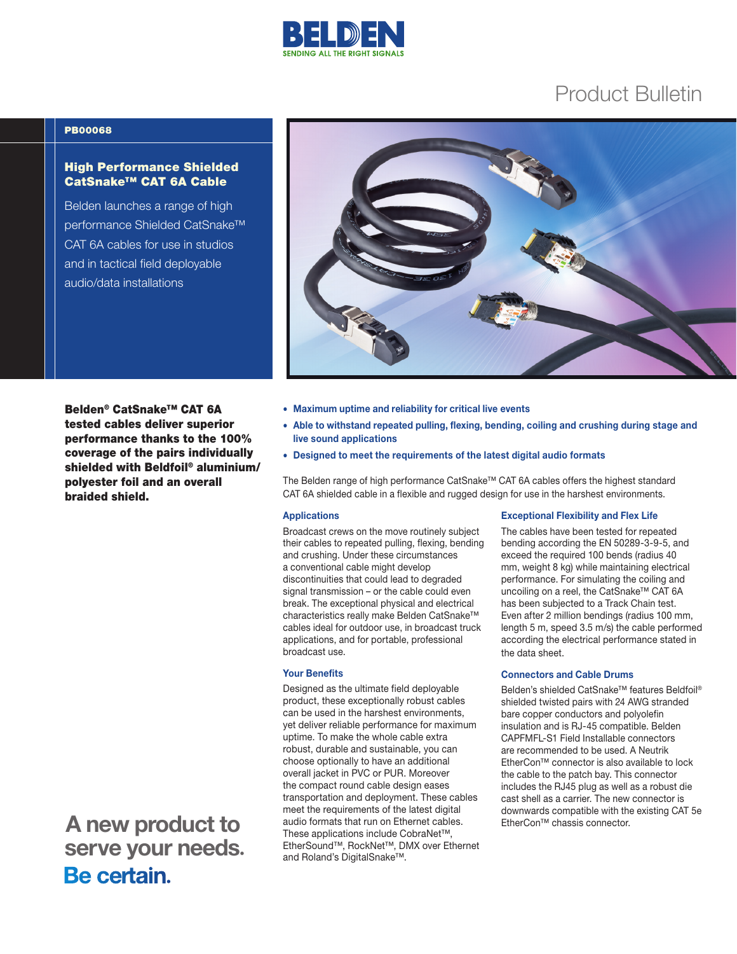

# Product Bulletin

### PB00068

## High Performance Shielded CatSnake™ CAT 6A Cable

Belden launches a range of high performance Shielded CatSnake™ CAT 6A cables for use in studios and in tactical field deployable audio/data installations

Belden® CatSnake™ CAT 6A tested cables deliver superior performance thanks to the 100% coverage of the pairs individually shielded with Beldfoil® aluminium/ polyester foil and an overall braided shield.

 A new product to serve your needs. Be certain.

- Maximum uptime and reliability for critical live events
- Able to withstand repeated pulling, flexing, bending, coiling and crushing during stage and live sound applications
- Designed to meet the requirements of the latest digital audio formats

The Belden range of high performance CatSnake™ CAT 6A cables offers the highest standard CAT 6A shielded cable in a flexible and rugged design for use in the harshest environments.

### Applications

Broadcast crews on the move routinely subject their cables to repeated pulling, flexing, bending and crushing. Under these circumstances a conventional cable might develop discontinuities that could lead to degraded signal transmission – or the cable could even break. The exceptional physical and electrical characteristics really make Belden CatSnake™ cables ideal for outdoor use, in broadcast truck applications, and for portable, professional broadcast use.

#### Your Benefits

Designed as the ultimate field deployable product, these exceptionally robust cables can be used in the harshest environments, yet deliver reliable performance for maximum uptime. To make the whole cable extra robust, durable and sustainable, you can choose optionally to have an additional overall jacket in PVC or PUR. Moreover the compact round cable design eases transportation and deployment. These cables meet the requirements of the latest digital audio formats that run on Ethernet cables. These applications include CobraNet™, EtherSound™, RockNet™, DMX over Ethernet and Roland's DigitalSnake™.

#### Exceptional Flexibility and Flex Life

The cables have been tested for repeated bending according the EN 50289-3-9-5, and exceed the required 100 bends (radius 40 mm, weight 8 kg) while maintaining electrical performance. For simulating the coiling and uncoiling on a reel, the CatSnake™ CAT 6A has been subjected to a Track Chain test. Even after 2 million bendings (radius 100 mm, length 5 m, speed 3.5 m/s) the cable performed according the electrical performance stated in the data sheet.

#### Connectors and Cable Drums

Belden's shielded CatSnake™ features Beldfoil® shielded twisted pairs with 24 AWG stranded bare copper conductors and polyolefin insulation and is RJ-45 compatible. Belden CAPFMFL-S1 Field Installable connectors are recommended to be used. A Neutrik EtherCon™ connector is also available to lock the cable to the patch bay. This connector includes the RJ45 plug as well as a robust die cast shell as a carrier. The new connector is downwards compatible with the existing CAT 5e EtherCon™ chassis connector.